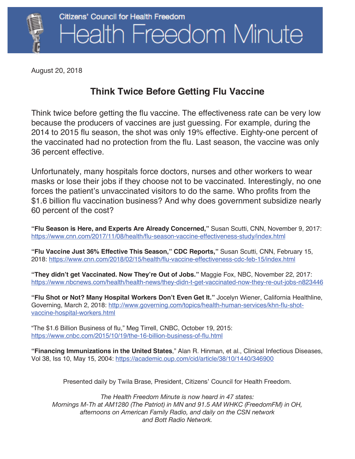

August 20, 2018

## **Think Twice Before Getting Flu Vaccine**

Think twice before getting the flu vaccine. The effectiveness rate can be very low because the producers of vaccines are just guessing. For example, during the 2014 to 2015 flu season, the shot was only 19% effective. Eighty-one percent of the vaccinated had no protection from the flu. Last season, the vaccine was only 36 percent effective.

Unfortunately, many hospitals force doctors, nurses and other workers to wear masks or lose their jobs if they choose not to be vaccinated. Interestingly, no one forces the patient's unvaccinated visitors to do the same. Who profits from the \$1.6 billion flu vaccination business? And why does government subsidize nearly 60 percent of the cost?

**"Flu Season is Here, and Experts Are Already Concerned,"** Susan Scutti, CNN, November 9, 2017: https://www.cnn.com/2017/11/08/health/flu-season-vaccine-effectiveness-study/index.html

**"Flu Vaccine Just 36% Effective This Season," CDC Reports,"** Susan Scutti, CNN, February 15, 2018: https://www.cnn.com/2018/02/15/health/flu-vaccine-effectiveness-cdc-feb-15/index.html

**"They didn't get Vaccinated. Now They're Out of Jobs."** Maggie Fox, NBC, November 22, 2017: https://www.nbcnews.com/health/health-news/they-didn-t-get-vaccinated-now-they-re-out-jobs-n823446

**"Flu Shot or Not? Many Hospital Workers Don't Even Get It."** Jocelyn Wiener, California Healthline, Governing, March 2, 2018: http://www.governing.com/topics/health-human-services/khn-flu-shotvaccine-hospital-workers.html

"The \$1.6 Billion Business of flu," Meg Tirrell, CNBC, October 19, 2015: https://www.cnbc.com/2015/10/19/the-16-billion-business-of-flu.html

**"Financing Immunizations in the United States**," Alan R. Hinman, et al., Clinical Infectious Diseases, Vol 38, Iss 10, May 15, 2004: https://academic.oup.com/cid/article/38/10/1440/346900

Presented daily by Twila Brase, President, Citizens' Council for Health Freedom.

*The Health Freedom Minute is now heard in 47 states: Mornings M-Th at AM1280 (The Patriot) in MN and 91.5 AM WHKC (FreedomFM) in OH, afternoons on American Family Radio, and daily on the CSN network and Bott Radio Network.*